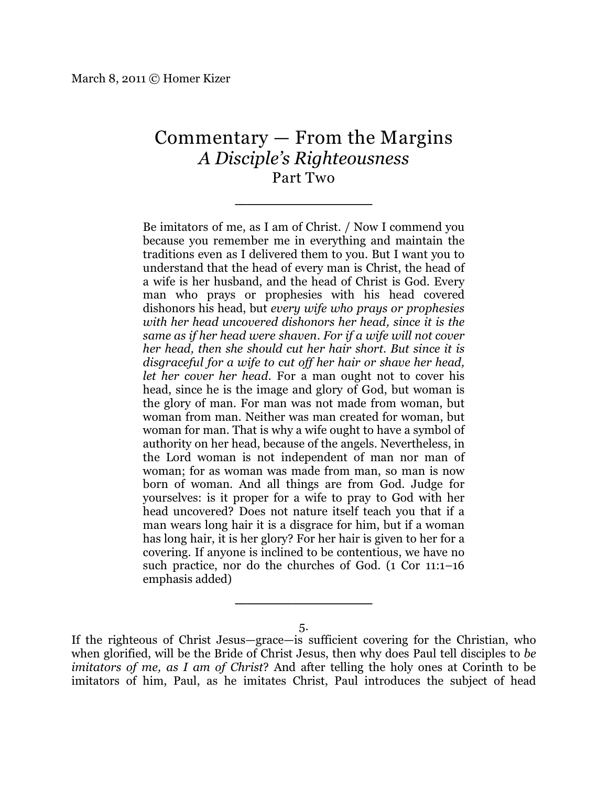## Commentary — From the Margins *A Disciple's Righteousness* Part Two

\_\_\_\_\_\_\_\_\_\_\_\_

Be imitators of me, as I am of Christ. / Now I commend you because you remember me in everything and maintain the traditions even as I delivered them to you. But I want you to understand that the head of every man is Christ, the head of a wife is her husband, and the head of Christ is God. Every man who prays or prophesies with his head covered dishonors his head, but *every wife who prays or prophesies with her head uncovered dishonors her head, since it is the same as if her head were shaven. For if a wife will not cover her head, then she should cut her hair short. But since it is disgraceful for a wife to cut off her hair or shave her head, let her cover her head.* For a man ought not to cover his head, since he is the image and glory of God, but woman is the glory of man. For man was not made from woman, but woman from man. Neither was man created for woman, but woman for man. That is why a wife ought to have a symbol of authority on her head, because of the angels. Nevertheless, in the Lord woman is not independent of man nor man of woman; for as woman was made from man, so man is now born of woman. And all things are from God. Judge for yourselves: is it proper for a wife to pray to God with her head uncovered? Does not nature itself teach you that if a man wears long hair it is a disgrace for him, but if a woman has long hair, it is her glory? For her hair is given to her for a covering. If anyone is inclined to be contentious, we have no such practice, nor do the churches of God. (1 Cor 11:1–16 emphasis added)

5.

\_\_\_\_\_\_\_\_\_\_\_\_

If the righteous of Christ Jesus—grace—is sufficient covering for the Christian, who when glorified, will be the Bride of Christ Jesus, then why does Paul tell disciples to *be imitators of me, as I am of Christ*? And after telling the holy ones at Corinth to be imitators of him, Paul, as he imitates Christ, Paul introduces the subject of head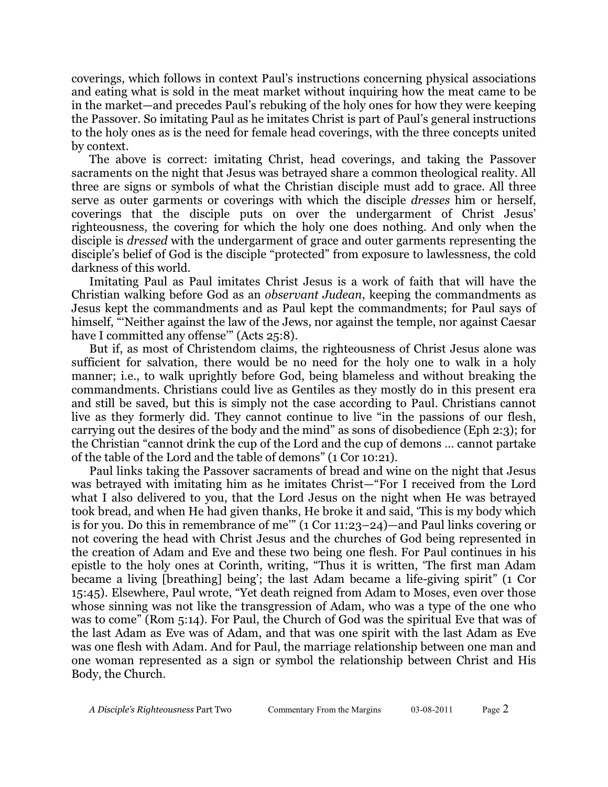coverings, which follows in context Paul's instructions concerning physical associations and eating what is sold in the meat market without inquiring how the meat came to be in the market—and precedes Paul's rebuking of the holy ones for how they were keeping the Passover. So imitating Paul as he imitates Christ is part of Paul's general instructions to the holy ones as is the need for female head coverings, with the three concepts united by context.

The above is correct: imitating Christ, head coverings, and taking the Passover sacraments on the night that Jesus was betrayed share a common theological reality. All three are signs or symbols of what the Christian disciple must add to grace. All three serve as outer garments or coverings with which the disciple *dresses* him or herself, coverings that the disciple puts on over the undergarment of Christ Jesus' righteousness, the covering for which the holy one does nothing. And only when the disciple is *dressed* with the undergarment of grace and outer garments representing the disciple's belief of God is the disciple "protected" from exposure to lawlessness, the cold darkness of this world.

Imitating Paul as Paul imitates Christ Jesus is a work of faith that will have the Christian walking before God as an *observant Judean*, keeping the commandments as Jesus kept the commandments and as Paul kept the commandments; for Paul says of himself, "'Neither against the law of the Jews, nor against the temple, nor against Caesar have I committed any offense" (Acts 25:8).

But if, as most of Christendom claims, the righteousness of Christ Jesus alone was sufficient for salvation, there would be no need for the holy one to walk in a holy manner; i.e., to walk uprightly before God, being blameless and without breaking the commandments. Christians could live as Gentiles as they mostly do in this present era and still be saved, but this is simply not the case according to Paul. Christians cannot live as they formerly did. They cannot continue to live "in the passions of our flesh, carrying out the desires of the body and the mind" as sons of disobedience (Eph 2:3); for the Christian "cannot drink the cup of the Lord and the cup of demons … cannot partake of the table of the Lord and the table of demons" (1 Cor 10:21).

Paul links taking the Passover sacraments of bread and wine on the night that Jesus was betrayed with imitating him as he imitates Christ—"For I received from the Lord what I also delivered to you, that the Lord Jesus on the night when He was betrayed took bread, and when He had given thanks, He broke it and said, 'This is my body which is for you. Do this in remembrance of me'" (1 Cor 11:23–24)—and Paul links covering or not covering the head with Christ Jesus and the churches of God being represented in the creation of Adam and Eve and these two being one flesh. For Paul continues in his epistle to the holy ones at Corinth, writing, "Thus it is written, 'The first man Adam became a living [breathing] being'; the last Adam became a life-giving spirit" (1 Cor 15:45). Elsewhere, Paul wrote, "Yet death reigned from Adam to Moses, even over those whose sinning was not like the transgression of Adam, who was a type of the one who was to come" (Rom 5:14). For Paul, the Church of God was the spiritual Eve that was of the last Adam as Eve was of Adam, and that was one spirit with the last Adam as Eve was one flesh with Adam. And for Paul, the marriage relationship between one man and one woman represented as a sign or symbol the relationship between Christ and His Body, the Church.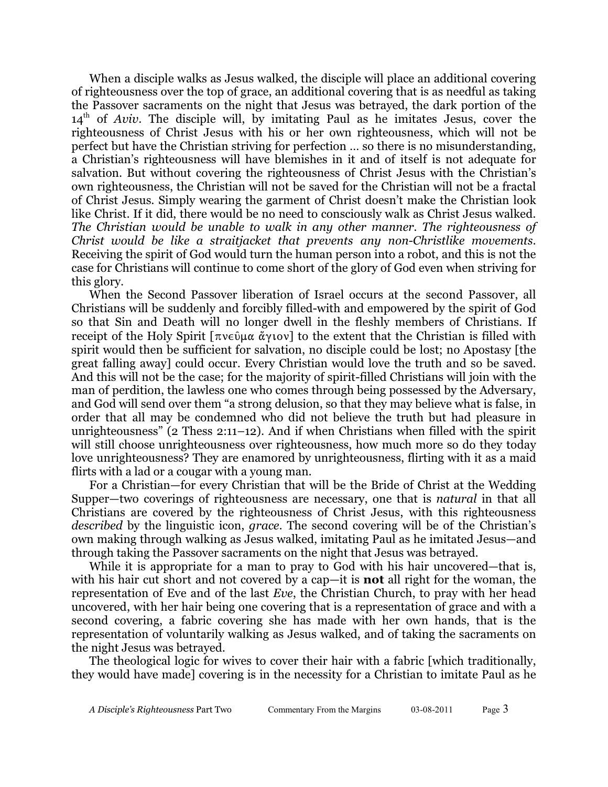When a disciple walks as Jesus walked, the disciple will place an additional covering of righteousness over the top of grace, an additional covering that is as needful as taking the Passover sacraments on the night that Jesus was betrayed, the dark portion of the  $14<sup>th</sup>$  of *Aviv*. The disciple will, by imitating Paul as he imitates Jesus, cover the righteousness of Christ Jesus with his or her own righteousness, which will not be perfect but have the Christian striving for perfection … so there is no misunderstanding, a Christian's righteousness will have blemishes in it and of itself is not adequate for salvation. But without covering the righteousness of Christ Jesus with the Christian's own righteousness, the Christian will not be saved for the Christian will not be a fractal of Christ Jesus. Simply wearing the garment of Christ doesn't make the Christian look like Christ. If it did, there would be no need to consciously walk as Christ Jesus walked. *The Christian would be unable to walk in any other manner. The righteousness of Christ would be like a straitjacket that prevents any non-Christlike movements*. Receiving the spirit of God would turn the human person into a robot, and this is not the case for Christians will continue to come short of the glory of God even when striving for this glory.

When the Second Passover liberation of Israel occurs at the second Passover, all Christians will be suddenly and forcibly filled-with and empowered by the spirit of God so that Sin and Death will no longer dwell in the fleshly members of Christians. If receipt of the Holy Spirit  $[\pi v \in \mathfrak{g} \times \mathfrak{g} \times \mathfrak{g} \times \mathfrak{g}]$  to the extent that the Christian is filled with spirit would then be sufficient for salvation, no disciple could be lost; no Apostasy [the great falling away] could occur. Every Christian would love the truth and so be saved. And this will not be the case; for the majority of spirit-filled Christians will join with the man of perdition, the lawless one who comes through being possessed by the Adversary, and God will send over them "a strong delusion, so that they may believe what is false, in order that all may be condemned who did not believe the truth but had pleasure in unrighteousness" (2 Thess 2:11–12). And if when Christians when filled with the spirit will still choose unrighteousness over righteousness, how much more so do they today love unrighteousness? They are enamored by unrighteousness, flirting with it as a maid flirts with a lad or a cougar with a young man.

For a Christian—for every Christian that will be the Bride of Christ at the Wedding Supper—two coverings of righteousness are necessary, one that is *natural* in that all Christians are covered by the righteousness of Christ Jesus, with this righteousness *described* by the linguistic icon, *grace*. The second covering will be of the Christian's own making through walking as Jesus walked, imitating Paul as he imitated Jesus—and through taking the Passover sacraments on the night that Jesus was betrayed.

While it is appropriate for a man to pray to God with his hair uncovered—that is, with his hair cut short and not covered by a cap—it is **not** all right for the woman, the representation of Eve and of the last *Eve*, the Christian Church, to pray with her head uncovered, with her hair being one covering that is a representation of grace and with a second covering, a fabric covering she has made with her own hands, that is the representation of voluntarily walking as Jesus walked, and of taking the sacraments on the night Jesus was betrayed.

The theological logic for wives to cover their hair with a fabric [which traditionally, they would have made] covering is in the necessity for a Christian to imitate Paul as he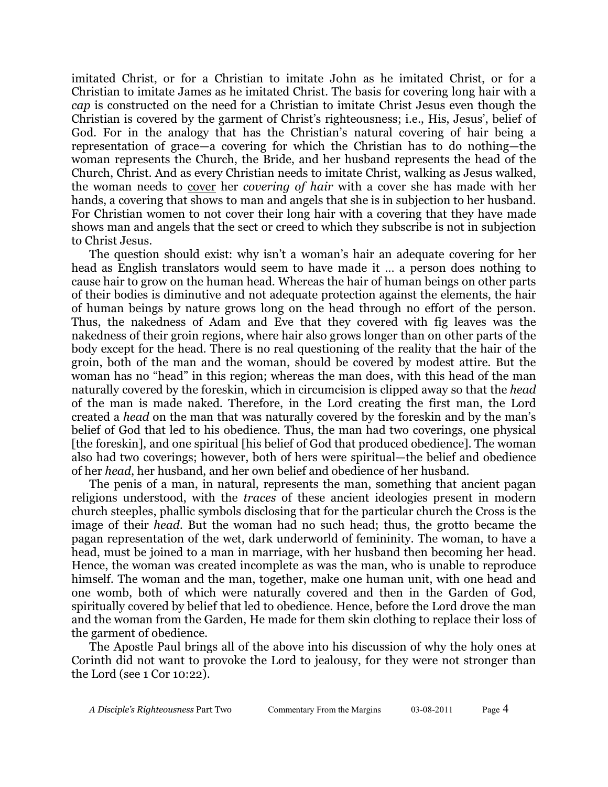imitated Christ, or for a Christian to imitate John as he imitated Christ, or for a Christian to imitate James as he imitated Christ. The basis for covering long hair with a *cap* is constructed on the need for a Christian to imitate Christ Jesus even though the Christian is covered by the garment of Christ's righteousness; i.e., His, Jesus', belief of God. For in the analogy that has the Christian's natural covering of hair being a representation of grace—a covering for which the Christian has to do nothing—the woman represents the Church, the Bride, and her husband represents the head of the Church, Christ. And as every Christian needs to imitate Christ, walking as Jesus walked, the woman needs to cover her *covering of hair* with a cover she has made with her hands, a covering that shows to man and angels that she is in subjection to her husband. For Christian women to not cover their long hair with a covering that they have made shows man and angels that the sect or creed to which they subscribe is not in subjection to Christ Jesus.

The question should exist: why isn't a woman's hair an adequate covering for her head as English translators would seem to have made it … a person does nothing to cause hair to grow on the human head. Whereas the hair of human beings on other parts of their bodies is diminutive and not adequate protection against the elements, the hair of human beings by nature grows long on the head through no effort of the person. Thus, the nakedness of Adam and Eve that they covered with fig leaves was the nakedness of their groin regions, where hair also grows longer than on other parts of the body except for the head. There is no real questioning of the reality that the hair of the groin, both of the man and the woman, should be covered by modest attire. But the woman has no "head" in this region; whereas the man does, with this head of the man naturally covered by the foreskin, which in circumcision is clipped away so that the *head* of the man is made naked. Therefore, in the Lord creating the first man, the Lord created a *head* on the man that was naturally covered by the foreskin and by the man's belief of God that led to his obedience. Thus, the man had two coverings, one physical [the foreskin], and one spiritual [his belief of God that produced obedience]. The woman also had two coverings; however, both of hers were spiritual—the belief and obedience of her *head*, her husband, and her own belief and obedience of her husband.

The penis of a man, in natural, represents the man, something that ancient pagan religions understood, with the *traces* of these ancient ideologies present in modern church steeples, phallic symbols disclosing that for the particular church the Cross is the image of their *head*. But the woman had no such head; thus, the grotto became the pagan representation of the wet, dark underworld of femininity. The woman, to have a head, must be joined to a man in marriage, with her husband then becoming her head. Hence, the woman was created incomplete as was the man, who is unable to reproduce himself. The woman and the man, together, make one human unit, with one head and one womb, both of which were naturally covered and then in the Garden of God, spiritually covered by belief that led to obedience. Hence, before the Lord drove the man and the woman from the Garden, He made for them skin clothing to replace their loss of the garment of obedience.

The Apostle Paul brings all of the above into his discussion of why the holy ones at Corinth did not want to provoke the Lord to jealousy, for they were not stronger than the Lord (see 1 Cor 10:22).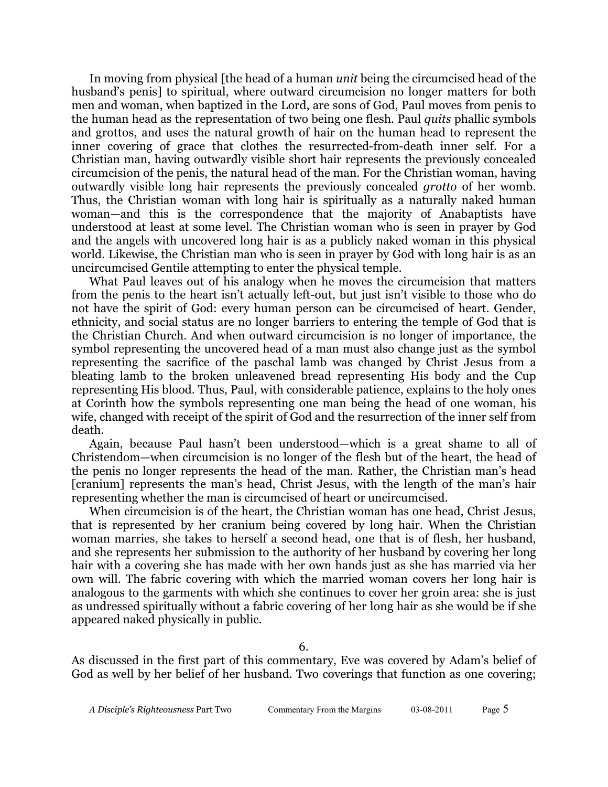In moving from physical [the head of a human *unit* being the circumcised head of the husband's penis] to spiritual, where outward circumcision no longer matters for both men and woman, when baptized in the Lord, are sons of God, Paul moves from penis to the human head as the representation of two being one flesh. Paul *quits* phallic symbols and grottos, and uses the natural growth of hair on the human head to represent the inner covering of grace that clothes the resurrected-from-death inner self. For a Christian man, having outwardly visible short hair represents the previously concealed circumcision of the penis, the natural head of the man. For the Christian woman, having outwardly visible long hair represents the previously concealed *grotto* of her womb. Thus, the Christian woman with long hair is spiritually as a naturally naked human woman—and this is the correspondence that the majority of Anabaptists have understood at least at some level. The Christian woman who is seen in prayer by God and the angels with uncovered long hair is as a publicly naked woman in this physical world. Likewise, the Christian man who is seen in prayer by God with long hair is as an uncircumcised Gentile attempting to enter the physical temple.

What Paul leaves out of his analogy when he moves the circumcision that matters from the penis to the heart isn't actually left-out, but just isn't visible to those who do not have the spirit of God: every human person can be circumcised of heart. Gender, ethnicity, and social status are no longer barriers to entering the temple of God that is the Christian Church. And when outward circumcision is no longer of importance, the symbol representing the uncovered head of a man must also change just as the symbol representing the sacrifice of the paschal lamb was changed by Christ Jesus from a bleating lamb to the broken unleavened bread representing His body and the Cup representing His blood. Thus, Paul, with considerable patience, explains to the holy ones at Corinth how the symbols representing one man being the head of one woman, his wife, changed with receipt of the spirit of God and the resurrection of the inner self from death.

Again, because Paul hasn't been understood—which is a great shame to all of Christendom—when circumcision is no longer of the flesh but of the heart, the head of the penis no longer represents the head of the man. Rather, the Christian man's head [cranium] represents the man's head, Christ Jesus, with the length of the man's hair representing whether the man is circumcised of heart or uncircumcised.

When circumcision is of the heart, the Christian woman has one head, Christ Jesus, that is represented by her cranium being covered by long hair. When the Christian woman marries, she takes to herself a second head, one that is of flesh, her husband, and she represents her submission to the authority of her husband by covering her long hair with a covering she has made with her own hands just as she has married via her own will. The fabric covering with which the married woman covers her long hair is analogous to the garments with which she continues to cover her groin area: she is just as undressed spiritually without a fabric covering of her long hair as she would be if she appeared naked physically in public.

As discussed in the first part of this commentary, Eve was covered by Adam's belief of God as well by her belief of her husband. Two coverings that function as one covering;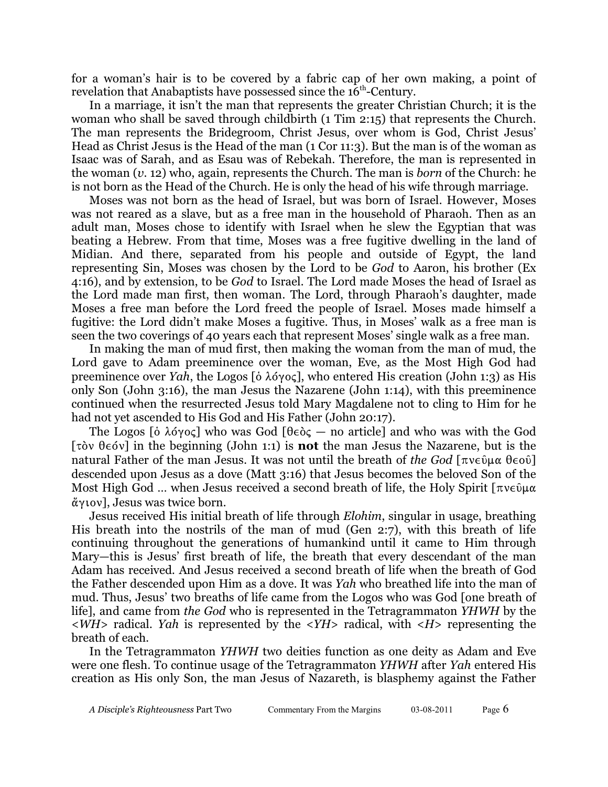for a woman's hair is to be covered by a fabric cap of her own making, a point of revelation that Anabaptists have possessed since the 16<sup>th</sup>-Century.

In a marriage, it isn't the man that represents the greater Christian Church; it is the woman who shall be saved through childbirth (1 Tim 2:15) that represents the Church. The man represents the Bridegroom, Christ Jesus, over whom is God, Christ Jesus' Head as Christ Jesus is the Head of the man (1 Cor 11:3). But the man is of the woman as Isaac was of Sarah, and as Esau was of Rebekah. Therefore, the man is represented in the woman (*v.* 12) who, again, represents the Church. The man is *born* of the Church: he is not born as the Head of the Church. He is only the head of his wife through marriage.

Moses was not born as the head of Israel, but was born of Israel. However, Moses was not reared as a slave, but as a free man in the household of Pharaoh. Then as an adult man, Moses chose to identify with Israel when he slew the Egyptian that was beating a Hebrew. From that time, Moses was a free fugitive dwelling in the land of Midian. And there, separated from his people and outside of Egypt, the land representing Sin, Moses was chosen by the Lord to be *God* to Aaron, his brother (Ex 4:16), and by extension, to be *God* to Israel. The Lord made Moses the head of Israel as the Lord made man first, then woman. The Lord, through Pharaoh's daughter, made Moses a free man before the Lord freed the people of Israel. Moses made himself a fugitive: the Lord didn't make Moses a fugitive. Thus, in Moses' walk as a free man is seen the two coverings of 40 years each that represent Moses' single walk as a free man.

In making the man of mud first, then making the woman from the man of mud, the Lord gave to Adam preeminence over the woman, Eve, as the Most High God had preeminence over *Yah*, the Logos [ $\delta \lambda$ ó $\gamma$ o $\zeta$ ], who entered His creation (John 1:3) as His only Son (John 3:16), the man Jesus the Nazarene (John 1:14), with this preeminence continued when the resurrected Jesus told Mary Magdalene not to cling to Him for he had not yet ascended to His God and His Father (John 20:17).

The Logos [ $\delta \lambda$ όγος] who was God [θ $\epsilon \delta \zeta$  — no article] and who was with the God [ $\tau$ òv  $\theta \in \{0\}$ ] in the beginning (John 1:1) is **not** the man Jesus the Nazarene, but is the natural Father of the man Jesus. It was not until the breath of *the God*  $[\pi \nu \epsilon \hat{\mu} \mu \alpha \theta \epsilon \omega \hat{\nu}]$ descended upon Jesus as a dove (Matt 3:16) that Jesus becomes the beloved Son of the Most High God ... when Jesus received a second breath of life, the Holy Spirit  $\lceil \pi v \in \mathfrak{g} \rceil$ άγιον], Jesus was twice born.

Jesus received His initial breath of life through *Elohim*, singular in usage, breathing His breath into the nostrils of the man of mud (Gen 2:7), with this breath of life continuing throughout the generations of humankind until it came to Him through Mary—this is Jesus' first breath of life, the breath that every descendant of the man Adam has received. And Jesus received a second breath of life when the breath of God the Father descended upon Him as a dove. It was *Yah* who breathed life into the man of mud. Thus, Jesus' two breaths of life came from the Logos who was God [one breath of life], and came from *the God* who is represented in the Tetragrammaton *YHWH* by the <*WH*> radical. *Yah* is represented by the <*YH*> radical, with <*H*> representing the breath of each.

In the Tetragrammaton *YHWH* two deities function as one deity as Adam and Eve were one flesh. To continue usage of the Tetragrammaton *YHWH* after *Yah* entered His creation as His only Son, the man Jesus of Nazareth, is blasphemy against the Father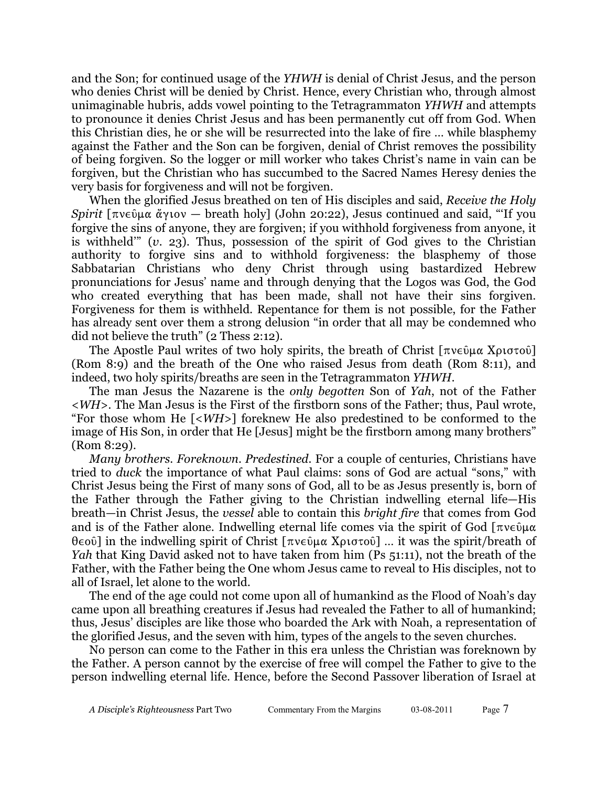and the Son; for continued usage of the *YHWH* is denial of Christ Jesus, and the person who denies Christ will be denied by Christ. Hence, every Christian who, through almost unimaginable hubris, adds vowel pointing to the Tetragrammaton *YHWH* and attempts to pronounce it denies Christ Jesus and has been permanently cut off from God. When this Christian dies, he or she will be resurrected into the lake of fire … while blasphemy against the Father and the Son can be forgiven, denial of Christ removes the possibility of being forgiven. So the logger or mill worker who takes Christ's name in vain can be forgiven, but the Christian who has succumbed to the Sacred Names Heresy denies the very basis for forgiveness and will not be forgiven.

When the glorified Jesus breathed on ten of His disciples and said, *Receive the Holy Spirit*  $\lceil \pi v \in \mathbb{Q} \mu \alpha \alpha' v \cdot v \rceil$  *breath holy* (John 20:22), Jesus continued and said, "If you forgive the sins of anyone, they are forgiven; if you withhold forgiveness from anyone, it is withheld'" (*v*. 23). Thus, possession of the spirit of God gives to the Christian authority to forgive sins and to withhold forgiveness: the blasphemy of those Sabbatarian Christians who deny Christ through using bastardized Hebrew pronunciations for Jesus' name and through denying that the Logos was God, the God who created everything that has been made, shall not have their sins forgiven. Forgiveness for them is withheld. Repentance for them is not possible, for the Father has already sent over them a strong delusion "in order that all may be condemned who did not believe the truth" (2 Thess 2:12).

The Apostle Paul writes of two holy spirits, the breath of Christ  $[\pi v \in \mathcal{L} \cup \mathcal{L} \cup \mathcal{L} \cup \mathcal{L} \cup \mathcal{L} \cup \mathcal{L} \cup \mathcal{L} \cup \mathcal{L} \cup \mathcal{L} \cup \mathcal{L} \cup \mathcal{L} \cup \mathcal{L} \cup \mathcal{L} \cup \mathcal{L} \cup \mathcal{L} \cup \mathcal{L} \cup \mathcal{L} \cup \mathcal{L} \cup \mathcal{L$ (Rom 8:9) and the breath of the One who raised Jesus from death (Rom 8:11), and indeed, two holy spirits/breaths are seen in the Tetragrammaton *YHWH*.

The man Jesus the Nazarene is the *only begotten* Son of *Yah*, not of the Father <*WH*>. The Man Jesus is the First of the firstborn sons of the Father; thus, Paul wrote, "For those whom He [<*WH*>] foreknew He also predestined to be conformed to the image of His Son, in order that He [Jesus] might be the firstborn among many brothers" (Rom 8:29).

*Many brothers. Foreknown. Predestined.* For a couple of centuries, Christians have tried to *duck* the importance of what Paul claims: sons of God are actual "sons," with Christ Jesus being the First of many sons of God, all to be as Jesus presently is, born of the Father through the Father giving to the Christian indwelling eternal life—His breath—in Christ Jesus, the *vessel* able to contain this *bright fire* that comes from God and is of the Father alone. Indwelling eternal life comes via the spirit of God  $\lceil \pi v \epsilon \hat{v} \rceil \mu \alpha$  $\theta \in \mathcal{O}$  in the indwelling spirit of Christ  $[\pi v \in \mathcal{O}]$   $\mu \alpha$  X $\rho \sigma \sigma$  $\sigma \delta$ ] … it was the spirit/breath of *Yah* that King David asked not to have taken from him (Ps 51:11), not the breath of the Father, with the Father being the One whom Jesus came to reveal to His disciples, not to all of Israel, let alone to the world.

The end of the age could not come upon all of humankind as the Flood of Noah's day came upon all breathing creatures if Jesus had revealed the Father to all of humankind; thus, Jesus' disciples are like those who boarded the Ark with Noah, a representation of the glorified Jesus, and the seven with him, types of the angels to the seven churches.

No person can come to the Father in this era unless the Christian was foreknown by the Father. A person cannot by the exercise of free will compel the Father to give to the person indwelling eternal life. Hence, before the Second Passover liberation of Israel at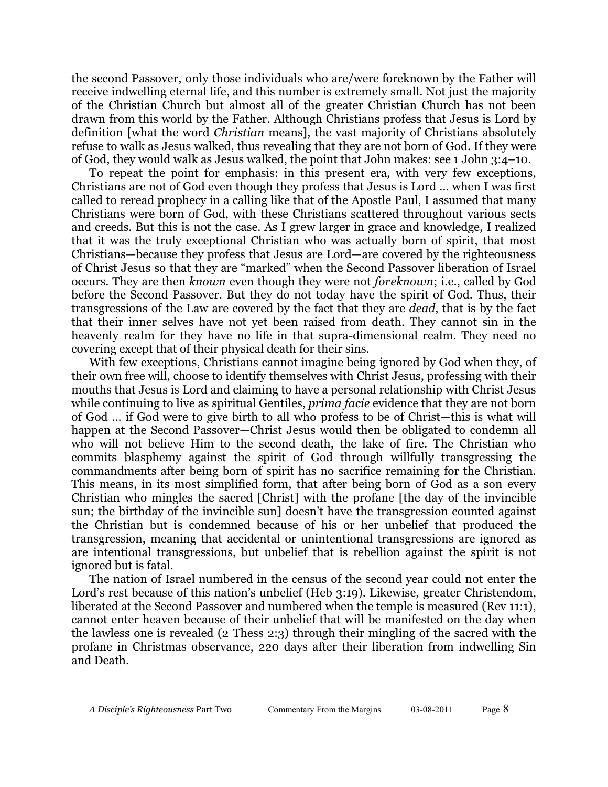the second Passover, only those individuals who are/were foreknown by the Father will receive indwelling eternal life, and this number is extremely small. Not just the majority of the Christian Church but almost all of the greater Christian Church has not been drawn from this world by the Father. Although Christians profess that Jesus is Lord by definition [what the word *Christian* means], the vast majority of Christians absolutely refuse to walk as Jesus walked, thus revealing that they are not born of God. If they were of God, they would walk as Jesus walked, the point that John makes: see 1 John 3:4–10.

To repeat the point for emphasis: in this present era, with very few exceptions, Christians are not of God even though they profess that Jesus is Lord … when I was first called to reread prophecy in a calling like that of the Apostle Paul, I assumed that many Christians were born of God, with these Christians scattered throughout various sects and creeds. But this is not the case. As I grew larger in grace and knowledge, I realized that it was the truly exceptional Christian who was actually born of spirit, that most Christians—because they profess that Jesus are Lord—are covered by the righteousness of Christ Jesus so that they are "marked" when the Second Passover liberation of Israel occurs. They are then *known* even though they were not *foreknown*; i.e., called by God before the Second Passover. But they do not today have the spirit of God. Thus, their transgressions of the Law are covered by the fact that they are *dead*, that is by the fact that their inner selves have not yet been raised from death. They cannot sin in the heavenly realm for they have no life in that supra-dimensional realm. They need no covering except that of their physical death for their sins.

With few exceptions, Christians cannot imagine being ignored by God when they, of their own free will, choose to identify themselves with Christ Jesus, professing with their mouths that Jesus is Lord and claiming to have a personal relationship with Christ Jesus while continuing to live as spiritual Gentiles, *prima facie* evidence that they are not born of God … if God were to give birth to all who profess to be of Christ—this is what will happen at the Second Passover—Christ Jesus would then be obligated to condemn all who will not believe Him to the second death, the lake of fire. The Christian who commits blasphemy against the spirit of God through willfully transgressing the commandments after being born of spirit has no sacrifice remaining for the Christian. This means, in its most simplified form, that after being born of God as a son every Christian who mingles the sacred [Christ] with the profane [the day of the invincible sun; the birthday of the invincible sun] doesn't have the transgression counted against the Christian but is condemned because of his or her unbelief that produced the transgression, meaning that accidental or unintentional transgressions are ignored as are intentional transgressions, but unbelief that is rebellion against the spirit is not ignored but is fatal.

The nation of Israel numbered in the census of the second year could not enter the Lord's rest because of this nation's unbelief (Heb 3:19). Likewise, greater Christendom, liberated at the Second Passover and numbered when the temple is measured (Rev 11:1), cannot enter heaven because of their unbelief that will be manifested on the day when the lawless one is revealed (2 Thess 2:3) through their mingling of the sacred with the profane in Christmas observance, 220 days after their liberation from indwelling Sin and Death.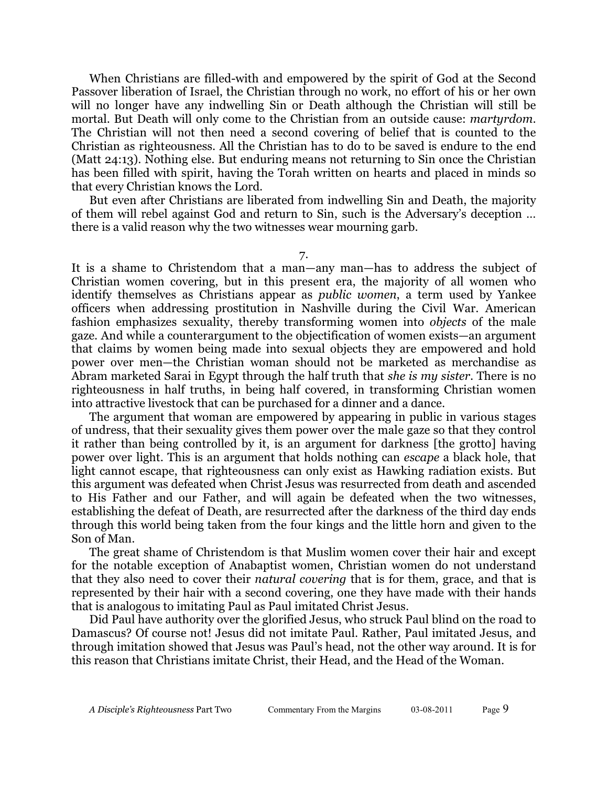When Christians are filled-with and empowered by the spirit of God at the Second Passover liberation of Israel, the Christian through no work, no effort of his or her own will no longer have any indwelling Sin or Death although the Christian will still be mortal. But Death will only come to the Christian from an outside cause: *martyrdom*. The Christian will not then need a second covering of belief that is counted to the Christian as righteousness. All the Christian has to do to be saved is endure to the end (Matt 24:13). Nothing else. But enduring means not returning to Sin once the Christian has been filled with spirit, having the Torah written on hearts and placed in minds so that every Christian knows the Lord.

But even after Christians are liberated from indwelling Sin and Death, the majority of them will rebel against God and return to Sin, such is the Adversary's deception … there is a valid reason why the two witnesses wear mourning garb.

7.

It is a shame to Christendom that a man—any man—has to address the subject of Christian women covering, but in this present era, the majority of all women who identify themselves as Christians appear as *public women*, a term used by Yankee officers when addressing prostitution in Nashville during the Civil War. American fashion emphasizes sexuality, thereby transforming women into *objects* of the male gaze. And while a counterargument to the objectification of women exists—an argument that claims by women being made into sexual objects they are empowered and hold power over men—the Christian woman should not be marketed as merchandise as Abram marketed Sarai in Egypt through the half truth that *she is my sister*. There is no righteousness in half truths, in being half covered, in transforming Christian women into attractive livestock that can be purchased for a dinner and a dance.

The argument that woman are empowered by appearing in public in various stages of undress, that their sexuality gives them power over the male gaze so that they control it rather than being controlled by it, is an argument for darkness [the grotto] having power over light. This is an argument that holds nothing can *escape* a black hole, that light cannot escape, that righteousness can only exist as Hawking radiation exists. But this argument was defeated when Christ Jesus was resurrected from death and ascended to His Father and our Father, and will again be defeated when the two witnesses, establishing the defeat of Death, are resurrected after the darkness of the third day ends through this world being taken from the four kings and the little horn and given to the Son of Man.

The great shame of Christendom is that Muslim women cover their hair and except for the notable exception of Anabaptist women, Christian women do not understand that they also need to cover their *natural covering* that is for them, grace, and that is represented by their hair with a second covering, one they have made with their hands that is analogous to imitating Paul as Paul imitated Christ Jesus.

Did Paul have authority over the glorified Jesus, who struck Paul blind on the road to Damascus? Of course not! Jesus did not imitate Paul. Rather, Paul imitated Jesus, and through imitation showed that Jesus was Paul's head, not the other way around. It is for this reason that Christians imitate Christ, their Head, and the Head of the Woman.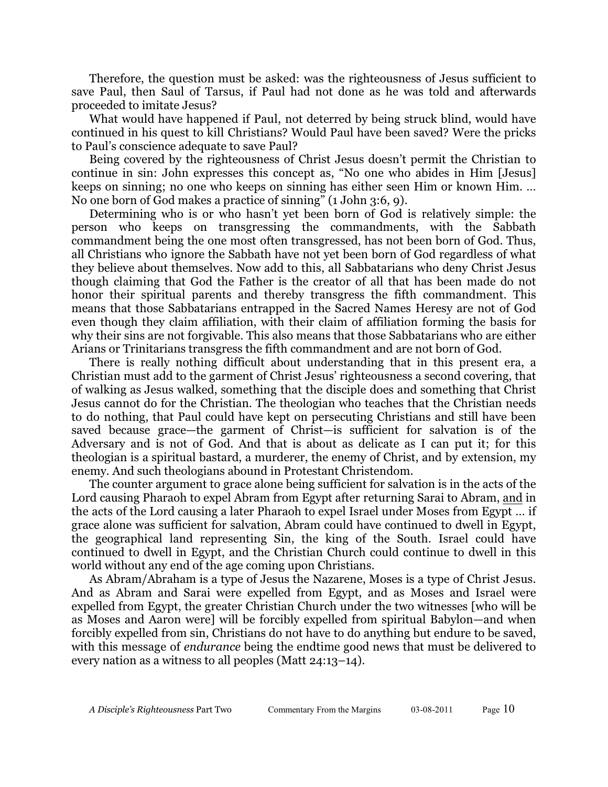Therefore, the question must be asked: was the righteousness of Jesus sufficient to save Paul, then Saul of Tarsus, if Paul had not done as he was told and afterwards proceeded to imitate Jesus?

What would have happened if Paul, not deterred by being struck blind, would have continued in his quest to kill Christians? Would Paul have been saved? Were the pricks to Paul's conscience adequate to save Paul?

Being covered by the righteousness of Christ Jesus doesn't permit the Christian to continue in sin: John expresses this concept as, "No one who abides in Him [Jesus] keeps on sinning; no one who keeps on sinning has either seen Him or known Him. … No one born of God makes a practice of sinning" (1 John 3:6, 9).

Determining who is or who hasn't yet been born of God is relatively simple: the person who keeps on transgressing the commandments, with the Sabbath commandment being the one most often transgressed, has not been born of God. Thus, all Christians who ignore the Sabbath have not yet been born of God regardless of what they believe about themselves. Now add to this, all Sabbatarians who deny Christ Jesus though claiming that God the Father is the creator of all that has been made do not honor their spiritual parents and thereby transgress the fifth commandment. This means that those Sabbatarians entrapped in the Sacred Names Heresy are not of God even though they claim affiliation, with their claim of affiliation forming the basis for why their sins are not forgivable. This also means that those Sabbatarians who are either Arians or Trinitarians transgress the fifth commandment and are not born of God.

There is really nothing difficult about understanding that in this present era, a Christian must add to the garment of Christ Jesus' righteousness a second covering, that of walking as Jesus walked, something that the disciple does and something that Christ Jesus cannot do for the Christian. The theologian who teaches that the Christian needs to do nothing, that Paul could have kept on persecuting Christians and still have been saved because grace—the garment of Christ—is sufficient for salvation is of the Adversary and is not of God. And that is about as delicate as I can put it; for this theologian is a spiritual bastard, a murderer, the enemy of Christ, and by extension, my enemy. And such theologians abound in Protestant Christendom.

The counter argument to grace alone being sufficient for salvation is in the acts of the Lord causing Pharaoh to expel Abram from Egypt after returning Sarai to Abram, and in the acts of the Lord causing a later Pharaoh to expel Israel under Moses from Egypt … if grace alone was sufficient for salvation, Abram could have continued to dwell in Egypt, the geographical land representing Sin, the king of the South. Israel could have continued to dwell in Egypt, and the Christian Church could continue to dwell in this world without any end of the age coming upon Christians.

As Abram/Abraham is a type of Jesus the Nazarene, Moses is a type of Christ Jesus. And as Abram and Sarai were expelled from Egypt, and as Moses and Israel were expelled from Egypt, the greater Christian Church under the two witnesses [who will be as Moses and Aaron were] will be forcibly expelled from spiritual Babylon—and when forcibly expelled from sin, Christians do not have to do anything but endure to be saved, with this message of *endurance* being the endtime good news that must be delivered to every nation as a witness to all peoples (Matt 24:13–14).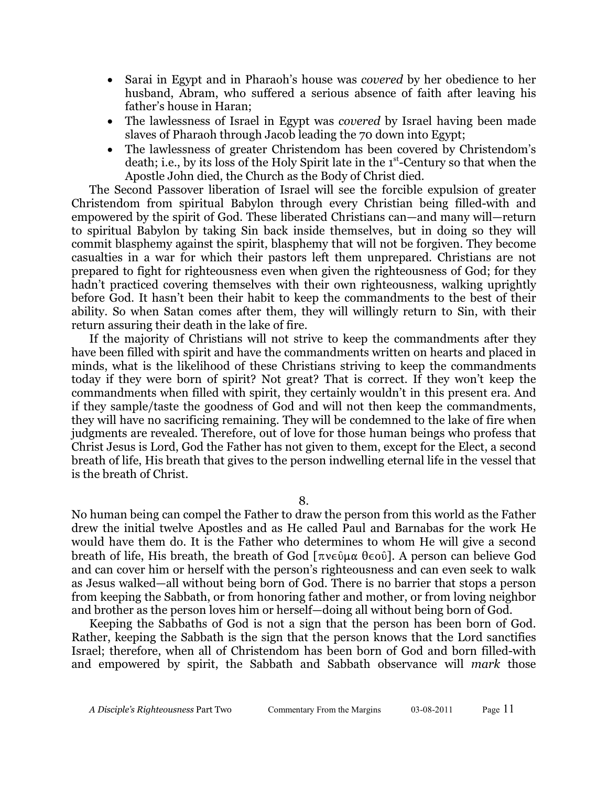Sarai in Egypt and in Pharaoh's house was *covered* by her obedience to her husband, Abram, who suffered a serious absence of faith after leaving his father's house in Haran;

The lawlessness of Israel in Egypt was *covered* by Israel having been made slaves of Pharaoh through Jacob leading the 70 down into Egypt;

The lawlessness of greater Christendom has been covered by Christendom's death; i.e., by its loss of the Holy Spirit late in the  $1<sup>st</sup>$ -Century so that when the Apostle John died, the Church as the Body of Christ died.

The Second Passover liberation of Israel will see the forcible expulsion of greater Christendom from spiritual Babylon through every Christian being filled-with and empowered by the spirit of God. These liberated Christians can—and many will—return to spiritual Babylon by taking Sin back inside themselves, but in doing so they will commit blasphemy against the spirit, blasphemy that will not be forgiven. They become casualties in a war for which their pastors left them unprepared. Christians are not prepared to fight for righteousness even when given the righteousness of God; for they hadn't practiced covering themselves with their own righteousness, walking uprightly before God. It hasn't been their habit to keep the commandments to the best of their ability. So when Satan comes after them, they will willingly return to Sin, with their return assuring their death in the lake of fire.

If the majority of Christians will not strive to keep the commandments after they have been filled with spirit and have the commandments written on hearts and placed in minds, what is the likelihood of these Christians striving to keep the commandments today if they were born of spirit? Not great? That is correct. If they won't keep the commandments when filled with spirit, they certainly wouldn't in this present era. And if they sample/taste the goodness of God and will not then keep the commandments, they will have no sacrificing remaining. They will be condemned to the lake of fire when judgments are revealed. Therefore, out of love for those human beings who profess that Christ Jesus is Lord, God the Father has not given to them, except for the Elect, a second breath of life, His breath that gives to the person indwelling eternal life in the vessel that is the breath of Christ.

8.

No human being can compel the Father to draw the person from this world as the Father drew the initial twelve Apostles and as He called Paul and Barnabas for the work He would have them do. It is the Father who determines to whom He will give a second breath of life, His breath, the breath of God  $[\pi v \in \mathfrak{e} \in \mathfrak{e} \in \mathfrak{e} \in \mathfrak{e}$ . A person can believe God and can cover him or herself with the person's righteousness and can even seek to walk as Jesus walked—all without being born of God. There is no barrier that stops a person from keeping the Sabbath, or from honoring father and mother, or from loving neighbor and brother as the person loves him or herself—doing all without being born of God.

Keeping the Sabbaths of God is not a sign that the person has been born of God. Rather, keeping the Sabbath is the sign that the person knows that the Lord sanctifies Israel; therefore, when all of Christendom has been born of God and born filled-with and empowered by spirit, the Sabbath and Sabbath observance will *mark* those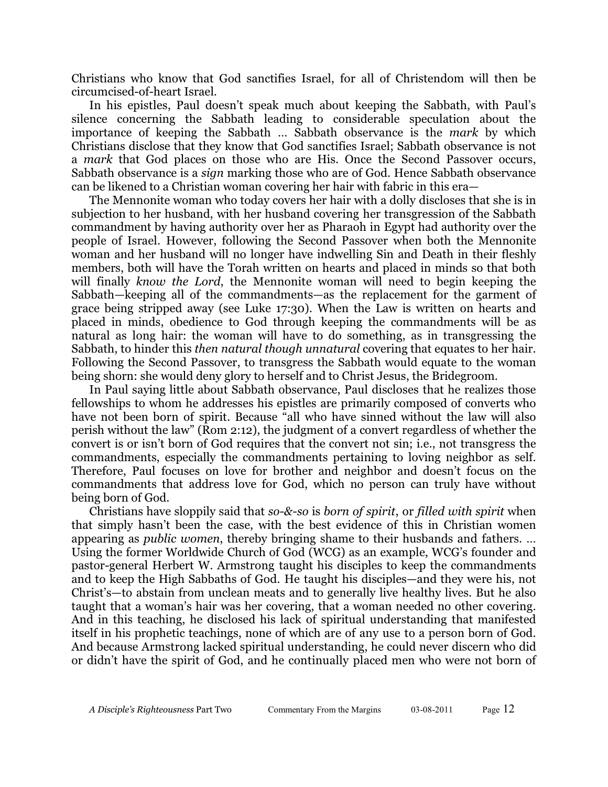Christians who know that God sanctifies Israel, for all of Christendom will then be circumcised-of-heart Israel.

In his epistles, Paul doesn't speak much about keeping the Sabbath, with Paul's silence concerning the Sabbath leading to considerable speculation about the importance of keeping the Sabbath … Sabbath observance is the *mark* by which Christians disclose that they know that God sanctifies Israel; Sabbath observance is not a *mark* that God places on those who are His. Once the Second Passover occurs, Sabbath observance is a *sign* marking those who are of God. Hence Sabbath observance can be likened to a Christian woman covering her hair with fabric in this era—

The Mennonite woman who today covers her hair with a dolly discloses that she is in subjection to her husband, with her husband covering her transgression of the Sabbath commandment by having authority over her as Pharaoh in Egypt had authority over the people of Israel. However, following the Second Passover when both the Mennonite woman and her husband will no longer have indwelling Sin and Death in their fleshly members, both will have the Torah written on hearts and placed in minds so that both will finally *know the Lord*, the Mennonite woman will need to begin keeping the Sabbath—keeping all of the commandments—as the replacement for the garment of grace being stripped away (see Luke 17:30). When the Law is written on hearts and placed in minds, obedience to God through keeping the commandments will be as natural as long hair: the woman will have to do something, as in transgressing the Sabbath, to hinder this *then natural though unnatural* covering that equates to her hair. Following the Second Passover, to transgress the Sabbath would equate to the woman being shorn: she would deny glory to herself and to Christ Jesus, the Bridegroom.

In Paul saying little about Sabbath observance, Paul discloses that he realizes those fellowships to whom he addresses his epistles are primarily composed of converts who have not been born of spirit. Because "all who have sinned without the law will also perish without the law" (Rom 2:12), the judgment of a convert regardless of whether the convert is or isn't born of God requires that the convert not sin; i.e., not transgress the commandments, especially the commandments pertaining to loving neighbor as self. Therefore, Paul focuses on love for brother and neighbor and doesn't focus on the commandments that address love for God, which no person can truly have without being born of God.

Christians have sloppily said that *so-&-so* is *born of spirit*, or *filled with spirit* when that simply hasn't been the case, with the best evidence of this in Christian women appearing as *public women*, thereby bringing shame to their husbands and fathers. … Using the former Worldwide Church of God (WCG) as an example, WCG's founder and pastor-general Herbert W. Armstrong taught his disciples to keep the commandments and to keep the High Sabbaths of God. He taught his disciples—and they were his, not Christ's—to abstain from unclean meats and to generally live healthy lives. But he also taught that a woman's hair was her covering, that a woman needed no other covering. And in this teaching, he disclosed his lack of spiritual understanding that manifested itself in his prophetic teachings, none of which are of any use to a person born of God. And because Armstrong lacked spiritual understanding, he could never discern who did or didn't have the spirit of God, and he continually placed men who were not born of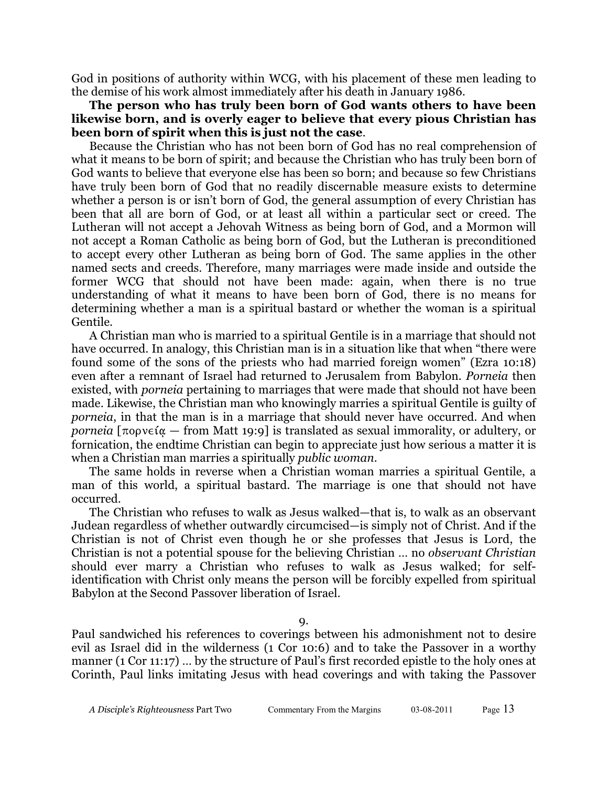God in positions of authority within WCG, with his placement of these men leading to the demise of his work almost immediately after his death in January 1986.

## **The person who has truly been born of God wants others to have been likewise born, and is overly eager to believe that every pious Christian has been born of spirit when this is just not the case**.

Because the Christian who has not been born of God has no real comprehension of what it means to be born of spirit; and because the Christian who has truly been born of God wants to believe that everyone else has been so born; and because so few Christians have truly been born of God that no readily discernable measure exists to determine whether a person is or isn't born of God, the general assumption of every Christian has been that all are born of God, or at least all within a particular sect or creed. The Lutheran will not accept a Jehovah Witness as being born of God, and a Mormon will not accept a Roman Catholic as being born of God, but the Lutheran is preconditioned to accept every other Lutheran as being born of God. The same applies in the other named sects and creeds. Therefore, many marriages were made inside and outside the former WCG that should not have been made: again, when there is no true understanding of what it means to have been born of God, there is no means for determining whether a man is a spiritual bastard or whether the woman is a spiritual Gentile.

A Christian man who is married to a spiritual Gentile is in a marriage that should not have occurred. In analogy, this Christian man is in a situation like that when "there were found some of the sons of the priests who had married foreign women" (Ezra 10:18) even after a remnant of Israel had returned to Jerusalem from Babylon. *Porneia* then existed, with *porneia* pertaining to marriages that were made that should not have been made. Likewise, the Christian man who knowingly marries a spiritual Gentile is guilty of *porneia*, in that the man is in a marriage that should never have occurred. And when *porneia*  $\lceil \pi$ opv $\epsilon$ i $\alpha$  – from Matt 19:9] is translated as sexual immorality, or adultery, or fornication, the endtime Christian can begin to appreciate just how serious a matter it is when a Christian man marries a spiritually *public woman.*

The same holds in reverse when a Christian woman marries a spiritual Gentile, a man of this world, a spiritual bastard. The marriage is one that should not have occurred.

The Christian who refuses to walk as Jesus walked—that is, to walk as an observant Judean regardless of whether outwardly circumcised—is simply not of Christ. And if the Christian is not of Christ even though he or she professes that Jesus is Lord, the Christian is not a potential spouse for the believing Christian … no *observant Christian* should ever marry a Christian who refuses to walk as Jesus walked; for selfidentification with Christ only means the person will be forcibly expelled from spiritual Babylon at the Second Passover liberation of Israel.

9.

Paul sandwiched his references to coverings between his admonishment not to desire evil as Israel did in the wilderness (1 Cor 10:6) and to take the Passover in a worthy manner (1 Cor 11:17) … by the structure of Paul's first recorded epistle to the holy ones at Corinth, Paul links imitating Jesus with head coverings and with taking the Passover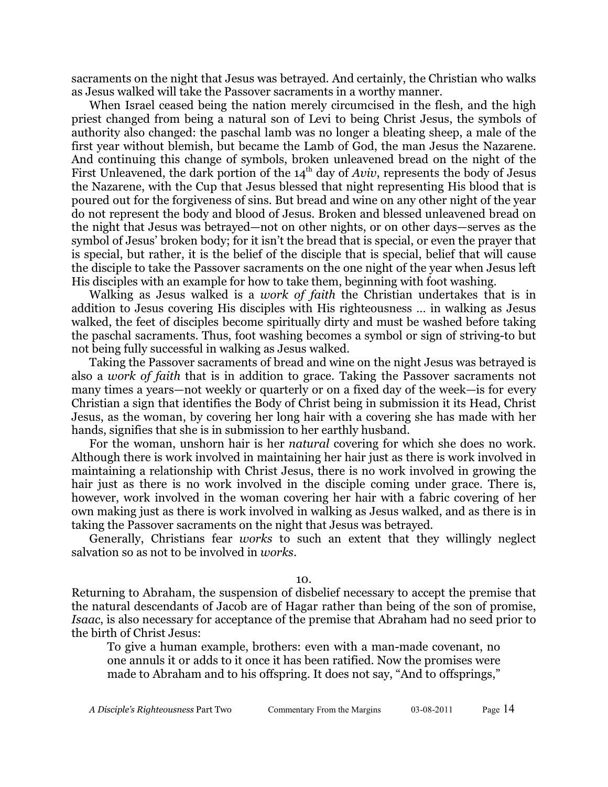sacraments on the night that Jesus was betrayed. And certainly, the Christian who walks as Jesus walked will take the Passover sacraments in a worthy manner.

When Israel ceased being the nation merely circumcised in the flesh, and the high priest changed from being a natural son of Levi to being Christ Jesus, the symbols of authority also changed: the paschal lamb was no longer a bleating sheep, a male of the first year without blemish, but became the Lamb of God, the man Jesus the Nazarene. And continuing this change of symbols, broken unleavened bread on the night of the First Unleavened, the dark portion of the  $14<sup>th</sup>$  day of *Aviv*, represents the body of Jesus the Nazarene, with the Cup that Jesus blessed that night representing His blood that is poured out for the forgiveness of sins. But bread and wine on any other night of the year do not represent the body and blood of Jesus. Broken and blessed unleavened bread on the night that Jesus was betrayed—not on other nights, or on other days—serves as the symbol of Jesus' broken body; for it isn't the bread that is special, or even the prayer that is special, but rather, it is the belief of the disciple that is special, belief that will cause the disciple to take the Passover sacraments on the one night of the year when Jesus left His disciples with an example for how to take them, beginning with foot washing.

Walking as Jesus walked is a *work of faith* the Christian undertakes that is in addition to Jesus covering His disciples with His righteousness … in walking as Jesus walked, the feet of disciples become spiritually dirty and must be washed before taking the paschal sacraments. Thus, foot washing becomes a symbol or sign of striving-to but not being fully successful in walking as Jesus walked.

Taking the Passover sacraments of bread and wine on the night Jesus was betrayed is also a *work of faith* that is in addition to grace. Taking the Passover sacraments not many times a years—not weekly or quarterly or on a fixed day of the week—is for every Christian a sign that identifies the Body of Christ being in submission it its Head, Christ Jesus, as the woman, by covering her long hair with a covering she has made with her hands, signifies that she is in submission to her earthly husband.

For the woman, unshorn hair is her *natural* covering for which she does no work. Although there is work involved in maintaining her hair just as there is work involved in maintaining a relationship with Christ Jesus, there is no work involved in growing the hair just as there is no work involved in the disciple coming under grace. There is, however, work involved in the woman covering her hair with a fabric covering of her own making just as there is work involved in walking as Jesus walked, and as there is in taking the Passover sacraments on the night that Jesus was betrayed.

Generally, Christians fear *works* to such an extent that they willingly neglect salvation so as not to be involved in *works*.

10.

Returning to Abraham, the suspension of disbelief necessary to accept the premise that the natural descendants of Jacob are of Hagar rather than being of the son of promise, *Isaac*, is also necessary for acceptance of the premise that Abraham had no seed prior to the birth of Christ Jesus:

To give a human example, brothers: even with a man-made covenant, no one annuls it or adds to it once it has been ratified. Now the promises were made to Abraham and to his offspring. It does not say, "And to offsprings,"